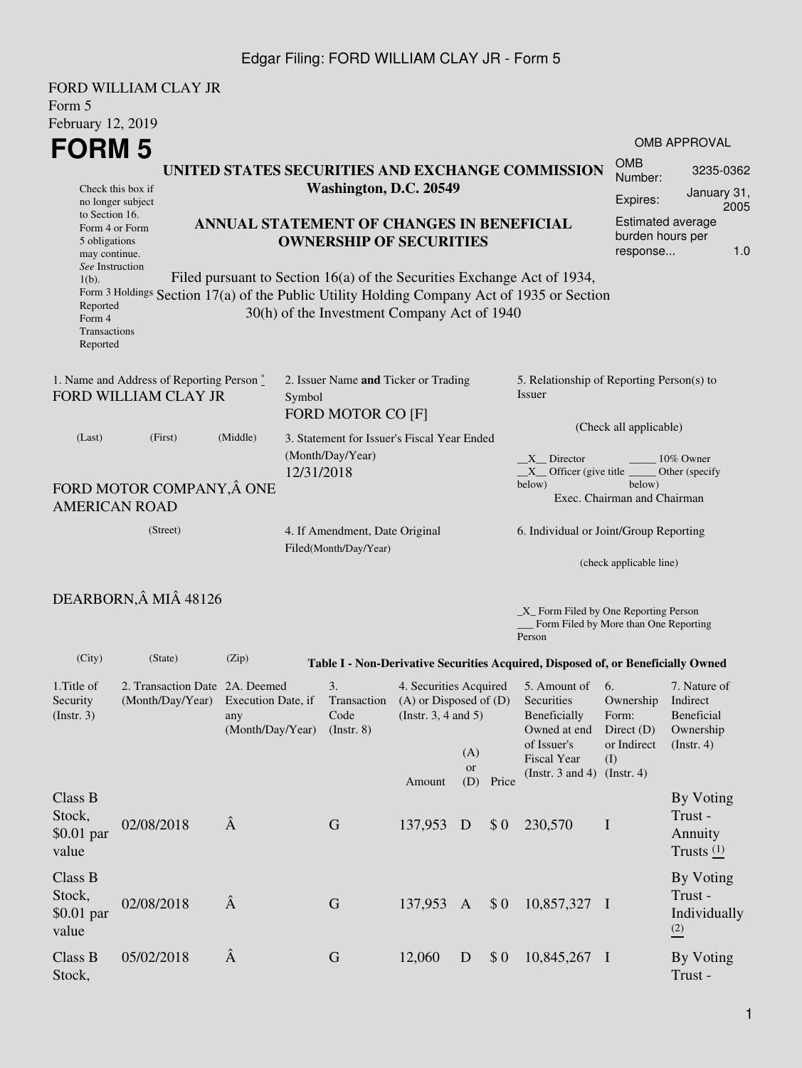| FORD WILLIAM CLAY JR                                                                     |          |                                                  |                                                                                                                                                                                                                      |                                                                                           |                                       |                     |  |  |
|------------------------------------------------------------------------------------------|----------|--------------------------------------------------|----------------------------------------------------------------------------------------------------------------------------------------------------------------------------------------------------------------------|-------------------------------------------------------------------------------------------|---------------------------------------|---------------------|--|--|
| Form 5                                                                                   |          |                                                  |                                                                                                                                                                                                                      |                                                                                           |                                       |                     |  |  |
| February 12, 2019                                                                        |          |                                                  |                                                                                                                                                                                                                      |                                                                                           |                                       |                     |  |  |
| <b>FORM 5</b>                                                                            |          |                                                  |                                                                                                                                                                                                                      |                                                                                           |                                       | <b>OMB APPROVAL</b> |  |  |
| Check this box if<br>no longer subject                                                   |          | UNITED STATES SECURITIES AND EXCHANGE COMMISSION | <b>OMB</b><br>Number:<br>Expires:                                                                                                                                                                                    | 3235-0362<br>January 31,                                                                  |                                       |                     |  |  |
| to Section 16.<br>Form 4 or Form<br>5 obligations<br>may continue.<br>See Instruction    |          | ANNUAL STATEMENT OF CHANGES IN BENEFICIAL        | 2005<br><b>Estimated average</b><br>burden hours per<br>1.0<br>response                                                                                                                                              |                                                                                           |                                       |                     |  |  |
| $1(b)$ .<br>Reported<br>Form 4<br>Transactions<br>Reported                               |          |                                                  | Filed pursuant to Section 16(a) of the Securities Exchange Act of 1934,<br>Form 3 Holdings Section 17(a) of the Public Utility Holding Company Act of 1935 or Section<br>30(h) of the Investment Company Act of 1940 |                                                                                           |                                       |                     |  |  |
| 1. Name and Address of Reporting Person $\stackrel{*}{\text{-}}$<br>FORD WILLIAM CLAY JR |          |                                                  | 2. Issuer Name and Ticker or Trading<br>Symbol<br><b>FORD MOTOR CO [F]</b>                                                                                                                                           | 5. Relationship of Reporting Person(s) to<br>Issuer<br>(Check all applicable)             |                                       |                     |  |  |
| (Last)                                                                                   | (First)  | (Middle)                                         | 3. Statement for Issuer's Fiscal Year Ended<br>(Month/Day/Year)<br>12/31/2018                                                                                                                                        | X Director<br>10% Owner<br>$X$ Officer (give title $\_\_\_\$ Other (specify               |                                       |                     |  |  |
| FORD MOTOR COMPANY, Â ONE<br><b>AMERICAN ROAD</b>                                        |          |                                                  |                                                                                                                                                                                                                      | below)                                                                                    | below)<br>Exec. Chairman and Chairman |                     |  |  |
|                                                                                          | (Street) |                                                  | 4. If Amendment, Date Original<br>Filed(Month/Day/Year)                                                                                                                                                              | 6. Individual or Joint/Group Reporting                                                    |                                       |                     |  |  |
|                                                                                          |          |                                                  |                                                                                                                                                                                                                      |                                                                                           | (check applicable line)               |                     |  |  |
| DEARBORN, MI 48126                                                                       |          |                                                  |                                                                                                                                                                                                                      | _X_ Form Filed by One Reporting Person<br>Form Filed by More than One Reporting<br>Person |                                       |                     |  |  |
| (City)                                                                                   | (State)  | (Zip)                                            | Table I - Non-Derivative Securities Acquired, Disposed of, or Beneficially Owned                                                                                                                                     |                                                                                           |                                       |                     |  |  |
| 1. Title of                                                                              |          | 2. Transaction Date 2A. Deemed                   | 4. Securities Acquired<br>3.<br>$\cdot$ c $\sim$<br>the control of the control of                                                                                                                                    | 5. Amount of 6.                                                                           | $\sim$ $\sim$                         | 7. Nature of        |  |  |

| 1.1 Ille 01<br>Security<br>$($ Instr. 3 $)$ | 2. Hansacuon Date<br>(Month/Day/Year) | <i>L</i> A. Deemed<br>Execution Date, if<br>any | $\mathcal{L}$<br>Transaction<br>Code | 4. Securities Acquired<br>$(A)$ or Disposed of $(D)$<br>(Insert. 3, 4 and 5) |                         | <b>J.</b> Allioulit of<br>Securities<br>Beneficially | O.<br>Ownership<br>Form:                                            | 7. ivature of<br>Indirect<br><b>Beneficial</b>         |                                                 |
|---------------------------------------------|---------------------------------------|-------------------------------------------------|--------------------------------------|------------------------------------------------------------------------------|-------------------------|------------------------------------------------------|---------------------------------------------------------------------|--------------------------------------------------------|-------------------------------------------------|
|                                             |                                       | (Month/Day/Year)                                | $($ Instr. $8)$                      | Amount                                                                       | (A)<br><b>or</b><br>(D) | Price                                                | Owned at end<br>of Issuer's<br>Fiscal Year<br>(Instr. $3$ and $4$ ) | Direct $(D)$<br>or Indirect<br>(I)<br>$($ Instr. 4 $)$ | Ownership<br>$($ Instr. 4 $)$                   |
| Class B<br>Stock,<br>$$0.01$ par<br>value   | 02/08/2018                            | Â                                               | G                                    | 137,953                                                                      | D                       | \$0                                                  | 230,570                                                             | $\mathbf I$                                            | By Voting<br>Trust -<br>Annuity<br>Trusts $(1)$ |
| Class B<br>Stock,<br>$$0.01$ par<br>value   | 02/08/2018                            | Â                                               | $\mathbf G$                          | 137,953                                                                      | $\mathbf{A}$            | \$0                                                  | 10,857,327 I                                                        |                                                        | By Voting<br>Trust -<br>Individually<br>(2)     |
| Class B<br>Stock,                           | 05/02/2018                            | Â                                               | G                                    | 12,060                                                                       | D                       | \$0                                                  | 10,845,267 I                                                        |                                                        | By Voting<br>Trust-                             |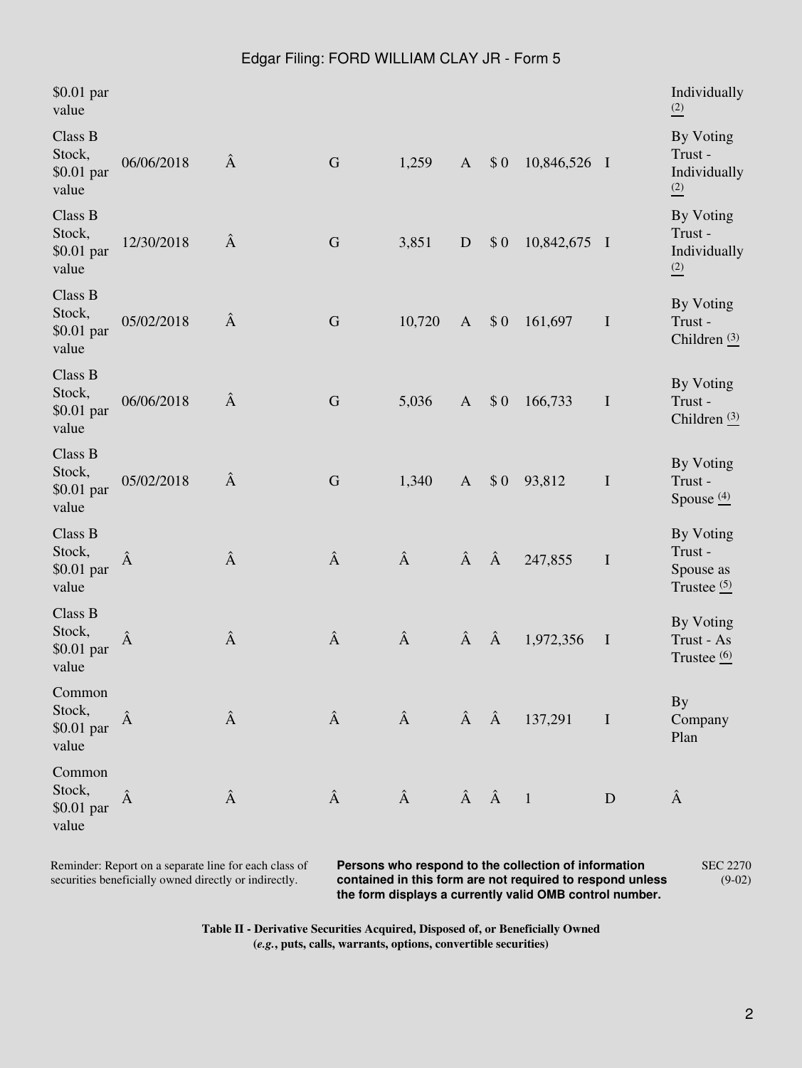| \$0.01 par<br>value                       |            |   |             |        |              |     |                                             |              | Individually<br>$\frac{(2)}{2}$                             |
|-------------------------------------------|------------|---|-------------|--------|--------------|-----|---------------------------------------------|--------------|-------------------------------------------------------------|
| Class B<br>Stock,<br>\$0.01 par<br>value  | 06/06/2018 | Â | ${\bf G}$   | 1,259  | $\mathbf{A}$ | \$0 | 10,846,526 I                                |              | By Voting<br>Trust-<br>Individually<br>$\frac{(2)}{2}$      |
| Class B<br>Stock,<br>\$0.01 par<br>value  | 12/30/2018 | Â | ${\bf G}$   | 3,851  | ${\bf D}$    | \$0 | 10,842,675 I                                |              | By Voting<br>Trust-<br>Individually<br>$\frac{(2)}{2}$      |
| Class B<br>Stock,<br>\$0.01 par<br>value  | 05/02/2018 | Â | $\mathbf G$ | 10,720 | $\mathbf{A}$ | \$0 | 161,697                                     | $\mathbf I$  | By Voting<br>Trust-<br>Children $(3)$                       |
| Class B<br>Stock,<br>\$0.01 par<br>value  | 06/06/2018 | Â | $\mathbf G$ | 5,036  | $\mathbf{A}$ | \$0 | 166,733                                     | $\mathbf I$  | By Voting<br>Trust-<br>Children $(3)$                       |
| Class B<br>Stock,<br>$$0.01$ par<br>value | 05/02/2018 | Â | G           | 1,340  | $\mathbf{A}$ | \$0 | 93,812                                      | $\mathbf I$  | By Voting<br>Trust-<br>Spouse $\frac{(4)}{2}$               |
| Class B<br>Stock,<br>\$0.01 par<br>value  | Â          | Â | Â           | Â      | Â            | Â   | 247,855                                     | $\bf I$      | By Voting<br>Trust-<br>Spouse as<br>Trustee $\frac{(5)}{2}$ |
| Class B<br>Stock,<br>\$0.01 par<br>value  | Â          | Â | Â           | Â      | Â            | Â   | 1,972,356                                   | $\mathbf{I}$ | By Voting<br>Trust - As<br>Trustee $\frac{(6)}{2}$          |
| Common<br>Stock,<br>\$0.01 par<br>value   | Â          | Â | Â           | Â      |              |     | $\hat{A}$ $\hat{A}$ 137,291<br>$\mathbf{I}$ |              | <b>By</b><br>Company<br>Plan                                |
| Common<br>Stock,<br>\$0.01 par<br>value   | Â          | Â | Â           | Â      | Â            |     | $\overline{1}$                              | D            | Â                                                           |

Reminder: Report on a separate line for each class of securities beneficially owned directly or indirectly.

**Persons who respond to the collection of information contained in this form are not required to respond unless the form displays a currently valid OMB control number.** SEC 2270 (9-02)

**Table II - Derivative Securities Acquired, Disposed of, or Beneficially Owned (***e.g.***, puts, calls, warrants, options, convertible securities)**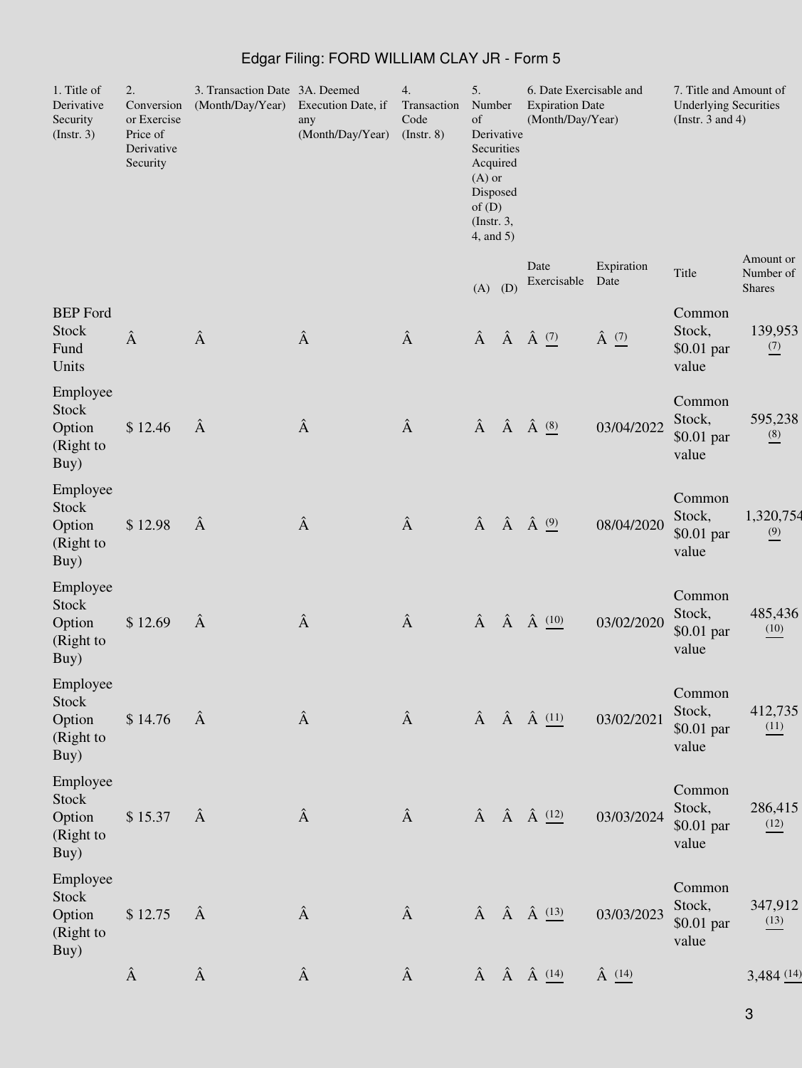| 1. Title of<br>Derivative<br>Security<br>(Insert. 3)    | 2.<br>Conversion<br>or Exercise<br>Price of<br>Derivative<br>Security | 3. Transaction Date 3A. Deemed<br>(Month/Day/Year) | Execution Date, if<br>any<br>(Month/Day/Year) | 4.<br>Transaction<br>Code<br>$($ Instr. 8 $)$ | 5.<br>Number<br>of<br>Acquired<br>$(A)$ or<br>Disposed<br>of(D)<br>$($ Instr. 3,<br>4, and 5) | Derivative<br>Securities | 6. Date Exercisable and<br><b>Expiration Date</b><br>(Month/Day/Year) |                  | 7. Title and Amount of<br><b>Underlying Securities</b><br>(Instr. $3$ and $4$ ) |                                          |
|---------------------------------------------------------|-----------------------------------------------------------------------|----------------------------------------------------|-----------------------------------------------|-----------------------------------------------|-----------------------------------------------------------------------------------------------|--------------------------|-----------------------------------------------------------------------|------------------|---------------------------------------------------------------------------------|------------------------------------------|
|                                                         |                                                                       |                                                    |                                               |                                               | (A)                                                                                           | (D)                      | Date<br>Exercisable Date                                              | Expiration       | Title                                                                           | Amount or<br>Number of<br><b>Shares</b>  |
| <b>BEP</b> Ford<br><b>Stock</b><br>Fund<br>Units        | Â                                                                     | $\hat{\text{A}}$                                   | Â                                             | Â                                             | Â                                                                                             |                          | $\hat{A}$ $\hat{A}$ $\stackrel{(7)}{=}$                               | $\hat{A}$ $(7)$  | Common<br>Stock,<br>\$0.01 par<br>value                                         | 139,953<br>$\frac{(7)}{2}$               |
| Employee<br><b>Stock</b><br>Option<br>(Right to<br>Buy) | \$12.46                                                               | Â                                                  | Â                                             | Â                                             | Â                                                                                             |                          | $\hat{A}$ $\hat{A}$ $\underline{^{(8)}}$                              | 03/04/2022       | Common<br>Stock,<br>\$0.01 par<br>value                                         | 595,238<br>$\underline{\overset{(8)}{}}$ |
| Employee<br><b>Stock</b><br>Option<br>(Right to<br>Buy) | \$12.98                                                               | Â                                                  | Â                                             | Â                                             | Â                                                                                             |                          | $\hat{A}$ $\hat{A}$ $\stackrel{(9)}{=}$                               | 08/04/2020       | Common<br>Stock,<br>$$0.01$ par<br>value                                        | 1,320,754<br>$\frac{(9)}{6}$             |
| Employee<br><b>Stock</b><br>Option<br>(Right to<br>Buy) | \$12.69                                                               | Â                                                  | $\hat{\textbf{A}}$                            | Â                                             | Â                                                                                             |                          | $\hat{A}$ $\hat{A}$ $\underline{^{(10)}}$                             | 03/02/2020       | Common<br>Stock,<br>$$0.01$ par<br>value                                        | 485,436<br>(10)                          |
| Employee<br>Stock<br>Option<br>(Right to<br>Buy)        | \$14.76                                                               | $\hat{A}$                                          | Â                                             | Â                                             |                                                                                               |                          | $\hat{A}$ $\hat{A}$ $\hat{A}$ $\underline{\hspace{1cm}}$ $(11)$       | 03/02/2021       | Common<br>Stock,<br>\$0.01 par<br>value                                         | 412,735<br>(11)                          |
| Employee<br>Stock<br>Option<br>(Right to<br>Buy)        | \$15.37                                                               | Â                                                  | Â                                             | Â                                             |                                                                                               |                          | $\hat{A}$ $\hat{A}$ $\hat{A}$ $(12)$                                  | 03/03/2024       | Common<br>Stock,<br>\$0.01 par<br>value                                         | 286,415<br>(12)                          |
| Employee<br>Stock<br>Option<br>(Right to<br>Buy)        | \$12.75                                                               | Â                                                  | Â                                             | Â                                             |                                                                                               |                          | $\hat{A}$ $\hat{A}$ $\hat{A}$ $\underline{^{(13)}}$                   | 03/03/2023       | Common<br>Stock,<br>\$0.01 par<br>value                                         | 347,912<br>(13)                          |
|                                                         | Â                                                                     | $\hat{\text{A}}$                                   | Â                                             | Â                                             |                                                                                               |                          | $\hat{A}$ $\hat{A}$ $\hat{A}$ $\frac{(14)}{2}$                        | $\hat{A}$ $(14)$ |                                                                                 | 3,484(14)                                |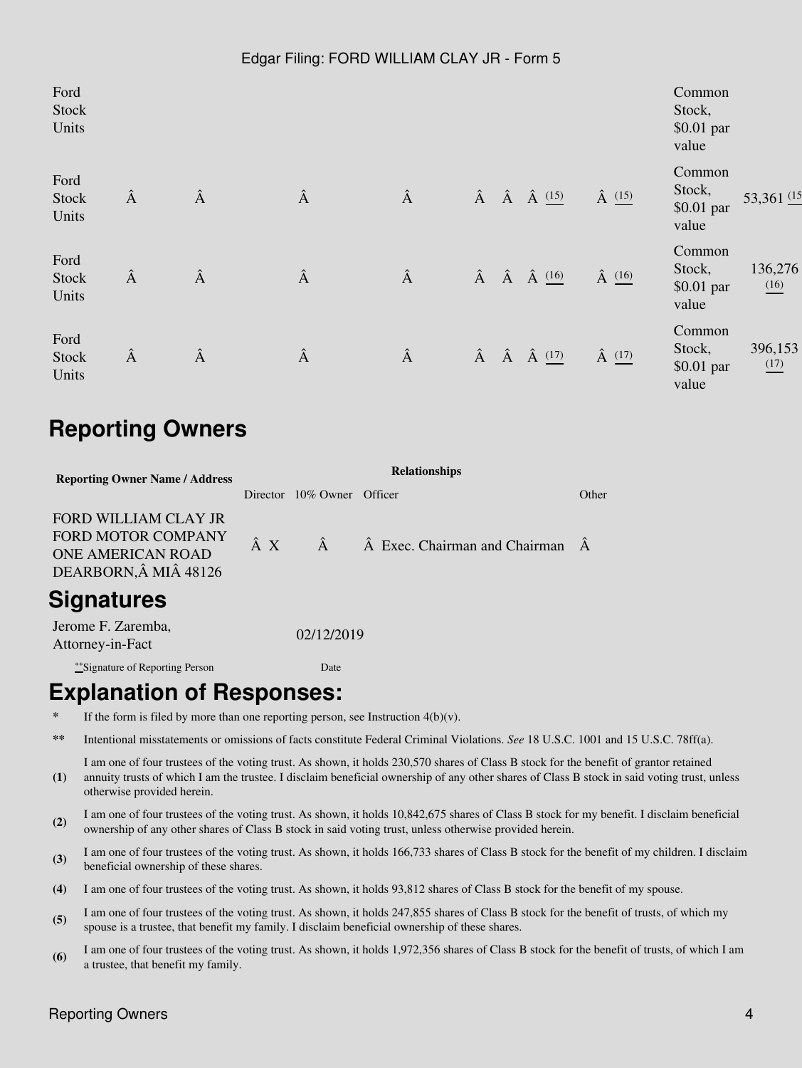| Ford<br>Stock<br>Units |   |   |   |   |  |                                                     |                | Common<br>Stock,<br>\$0.01 par<br>value |                               |  |
|------------------------|---|---|---|---|--|-----------------------------------------------------|----------------|-----------------------------------------|-------------------------------|--|
| Ford<br>Stock<br>Units | Â | Â | Â | Â |  | $\hat{A}$ $\hat{A}$ $\hat{A}$ $\frac{(15)}{2}$      | $\hat{A}$ (15) | Common<br>Stock,<br>\$0.01 par<br>value | 53,361 (15                    |  |
| Ford<br>Stock<br>Units | Â | Â | Â | Â |  | $\hat{A}$ $\hat{A}$ $\hat{A}$ $\underline{^{(16)}}$ | $\hat{A}$ (16) | Common<br>Stock,<br>\$0.01 par<br>value | 136,276<br>$\underline{(16)}$ |  |
| Ford<br>Stock<br>Units | Â | Â | Â | Â |  | $\hat{A}$ $\hat{A}$ $\hat{A}$ $\frac{(17)}{2}$      | $\hat{A}$ (17) | Common<br>Stock,<br>\$0.01 par<br>value | 396,153<br>$\frac{(17)}{2}$   |  |

# **Reporting Owners**

| <b>Reporting Owner Name / Address</b>                                                                      | <b>Relationships</b> |                            |                                                 |       |  |  |  |  |  |  |
|------------------------------------------------------------------------------------------------------------|----------------------|----------------------------|-------------------------------------------------|-------|--|--|--|--|--|--|
|                                                                                                            |                      | Director 10% Owner Officer |                                                 | Other |  |  |  |  |  |  |
| <b>FORD WILLIAM CLAY JR</b><br><b>FORD MOTOR COMPANY</b><br><b>ONE AMERICAN ROAD</b><br>DEARBORN, MI 48126 | $\hat{A}$ X          | $\hat{A}$                  | $\hat{A}$ Exec. Chairman and Chairman $\hat{A}$ |       |  |  |  |  |  |  |
| <b>Signatures</b>                                                                                          |                      |                            |                                                 |       |  |  |  |  |  |  |
| Jerome F. Zaremba,<br>Attorney-in-Fact                                                                     |                      | 02/12/2019                 |                                                 |       |  |  |  |  |  |  |

\*\*Signature of Reporting Person Date

## **Explanation of Responses:**

- If the form is filed by more than one reporting person, see Instruction  $4(b)(v)$ .
- **\*\*** Intentional misstatements or omissions of facts constitute Federal Criminal Violations. *See* 18 U.S.C. 1001 and 15 U.S.C. 78ff(a).
- **(1)** I am one of four trustees of the voting trust. As shown, it holds 230,570 shares of Class B stock for the benefit of grantor retained annuity trusts of which I am the trustee. I disclaim beneficial ownership of any other shares of Class B stock in said voting trust, unless otherwise provided herein.
- **(2)** I am one of four trustees of the voting trust. As shown, it holds 10,842,675 shares of Class B stock for my benefit. I disclaim beneficial ownership of any other shares of Class B stock in said voting trust, unless otherwise provided herein.
- (3) I am one of four trustees of the voting trust. As shown, it holds 166,733 shares of Class B stock for the benefit of my children. I disclaim have fixed any children of the scheme beneficial ownership of these shares.
- **(4)** I am one of four trustees of the voting trust. As shown, it holds 93,812 shares of Class B stock for the benefit of my spouse.
- **(5)** I am one of four trustees of the voting trust. As shown, it holds 247,855 shares of Class B stock for the benefit of trusts, of which my spouse is a trustee, that benefit my family. I disclaim beneficial ownership of these shares.
- **(6)** I am one of four trustees of the voting trust. As shown, it holds 1,972,356 shares of Class B stock for the benefit of trusts, of which I am a trustee, that benefit my family.